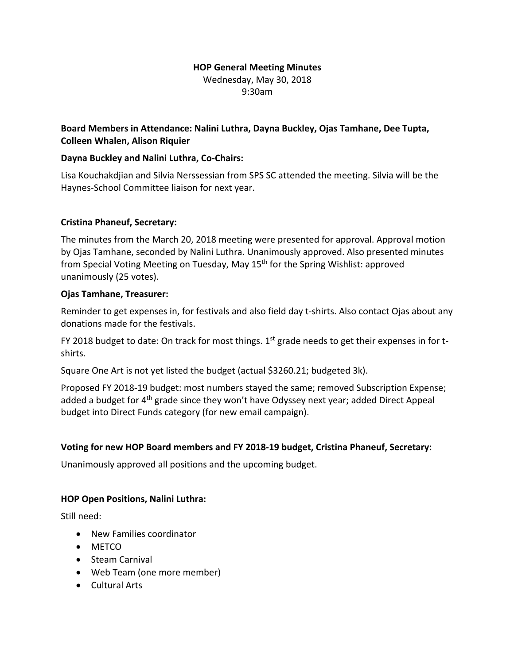# **HOP General Meeting Minutes**

Wednesday, May 30, 2018 9:30am

# **Board Members in Attendance: Nalini Luthra, Dayna Buckley, Ojas Tamhane, Dee Tupta, Colleen Whalen, Alison Riquier**

## **Dayna Buckley and Nalini Luthra, Co-Chairs:**

Lisa Kouchakdjian and Silvia Nerssessian from SPS SC attended the meeting. Silvia will be the Haynes-School Committee liaison for next year.

### **Cristina Phaneuf, Secretary:**

The minutes from the March 20, 2018 meeting were presented for approval. Approval motion by Ojas Tamhane, seconded by Nalini Luthra. Unanimously approved. Also presented minutes from Special Voting Meeting on Tuesday, May 15<sup>th</sup> for the Spring Wishlist: approved unanimously (25 votes).

### **Ojas Tamhane, Treasurer:**

Reminder to get expenses in, for festivals and also field day t-shirts. Also contact Ojas about any donations made for the festivals.

FY 2018 budget to date: On track for most things.  $1<sup>st</sup>$  grade needs to get their expenses in for tshirts.

Square One Art is not yet listed the budget (actual \$3260.21; budgeted 3k).

Proposed FY 2018-19 budget: most numbers stayed the same; removed Subscription Expense; added a budget for 4<sup>th</sup> grade since they won't have Odyssey next year; added Direct Appeal budget into Direct Funds category (for new email campaign).

# **Voting for new HOP Board members and FY 2018-19 budget, Cristina Phaneuf, Secretary:**

Unanimously approved all positions and the upcoming budget.

#### **HOP Open Positions, Nalini Luthra:**

Still need:

- New Families coordinator
- METCO
- Steam Carnival
- Web Team (one more member)
- Cultural Arts